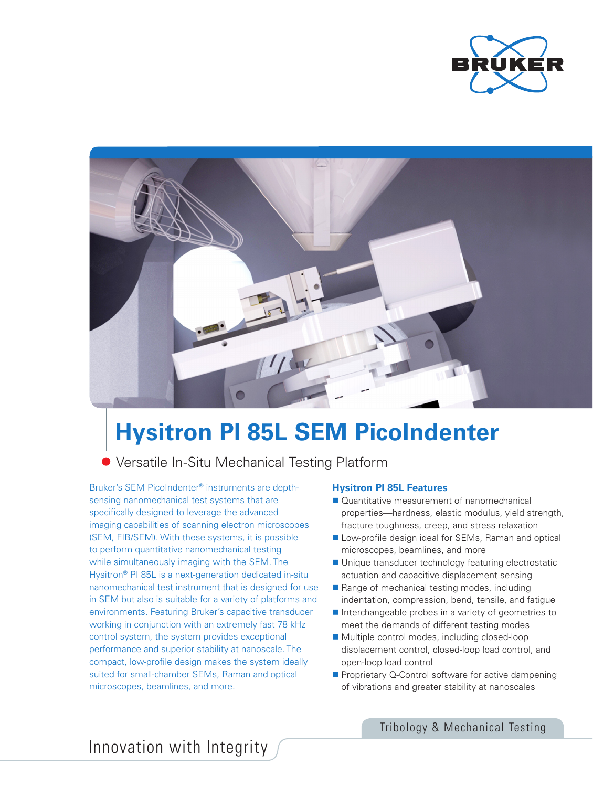



# **Hysitron PI 85L SEM PicoIndenter**

# Versatile In-Situ Mechanical Testing Platform

Bruker's SEM PicoIndenter® instruments are depthsensing nanomechanical test systems that are specifically designed to leverage the advanced imaging capabilities of scanning electron microscopes (SEM, FIB/SEM). With these systems, it is possible to perform quantitative nanomechanical testing while simultaneously imaging with the SEM. The Hysitron® PI 85L is a next-generation dedicated in-situ nanomechanical test instrument that is designed for use in SEM but also is suitable for a variety of platforms and environments. Featuring Bruker's capacitive transducer working in conjunction with an extremely fast 78 kHz control system, the system provides exceptional performance and superior stability at nanoscale. The compact, low-profile design makes the system ideally suited for small-chamber SEMs, Raman and optical microscopes, beamlines, and more.

#### **Hysitron PI 85L Features**

- Quantitative measurement of nanomechanical properties—hardness, elastic modulus, yield strength, fracture toughness, creep, and stress relaxation
- Low-profile design ideal for SEMs, Raman and optical microscopes, beamlines, and more
- Unique transducer technology featuring electrostatic actuation and capacitive displacement sensing
- Range of mechanical testing modes, including indentation, compression, bend, tensile, and fatigue
- Interchangeable probes in a variety of geometries to meet the demands of different testing modes
- Multiple control modes, including closed-loop displacement control, closed-loop load control, and open-loop load control
- **Proprietary Q-Control software for active dampening** of vibrations and greater stability at nanoscales

Tribology & Mechanical Testing

Innovation with Integrity